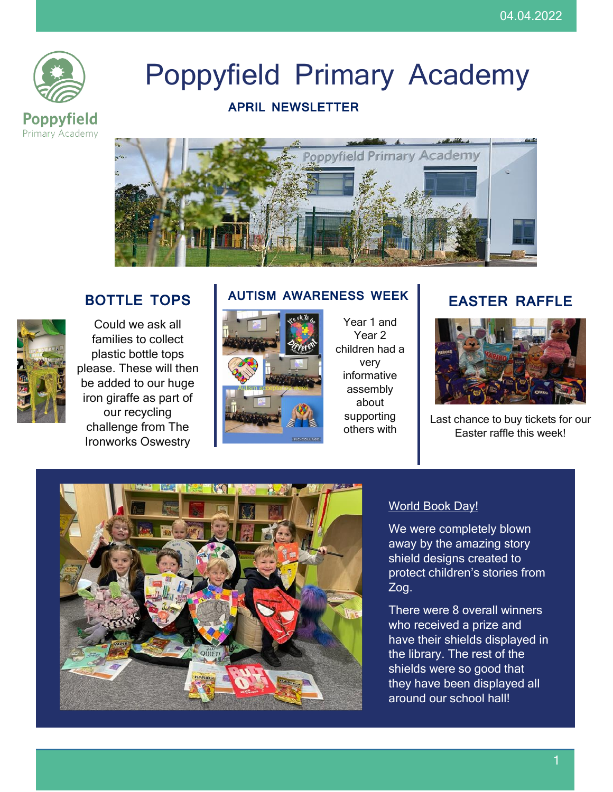

# Poppyfield Primary Academy

### **APRIL NEWSLETTER**



# **BOTTLE TOPS**



Could we ask all families to collect plastic bottle tops please. These will then be added to our huge iron giraffe as part of our recycling challenge from The Ironworks Oswestry

# **AUTISM AWARENESS WEEK**



Year 1 and Year 2 children had a very informative assembly about supporting others with

# **EASTER RAFFLE**



Last chance to buy tickets for our Easter raffle this week!



#### World Book Day!

We were completely blown away by the amazing story shield designs created to protect children's stories from Zog.

There were 8 overall winners who received a prize and have their shields displayed in the library. The rest of the shields were so good that they have been displayed all around our school hall!